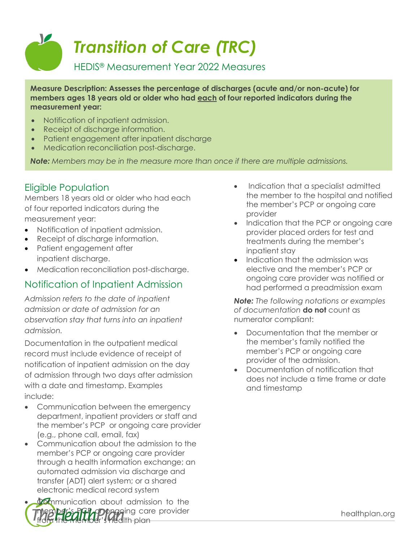# V *Transition of Care (TRC)* HEDIS® Measurement Year 2022 Measures

**Measure Description: Assesses the percentage of discharges (acute and/or non-acute) for members ages 18 years old or older who had each of four reported indicators during the measurement year:**

- Notification of inpatient admission.
- Receipt of discharge information.
- Patient engagement after inpatient discharge
- Medication reconciliation post-discharge.

*Note: Members may be in the measure more than once if there are multiple admissions.*

#### Eligible Population

Members 18 years old or older who had each of four reported indicators during the measurement year:

- Notification of inpatient admission.
- Receipt of discharge information.
- Patient engagement after inpatient discharge.
- Medication reconciliation post-discharge.

#### Notification of Inpatient Admission

*Admission refers to the date of inpatient admission or date of admission for an observation stay that turns into an inpatient admission.*

Documentation in the outpatient medical record must include evidence of receipt of notification of inpatient admission on the day of admission through two days after admission with a date and timestamp. Examples include:

- Communication between the emergency department, inpatient providers or staff and the member's PCP or ongoing care provider (e.g., phone call, email, fax)
- Communication about the admission to the member's PCP or ongoing care provider through a health information exchange; an automated admission via discharge and transfer (ADT) alert system; or a shared electronic medical record system

**Communication about admission to the PDOAGO**ing care provider fedlth plan

- Indication that a specialist admitted the member to the hospital and notified the member's PCP or ongoing care provider
- Indication that the PCP or ongoing care provider placed orders for test and treatments during the member's inpatient stay
- Indication that the admission was elective and the member's PCP or ongoing care provider was notified or had performed a preadmission exam

*Note: The following notations or examples of documentation* **do not** count as numerator compliant:

- Documentation that the member or the member's family notified the member's PCP or ongoing care provider of the admission.
- Documentation of notification that does not include a time frame or date and timestamp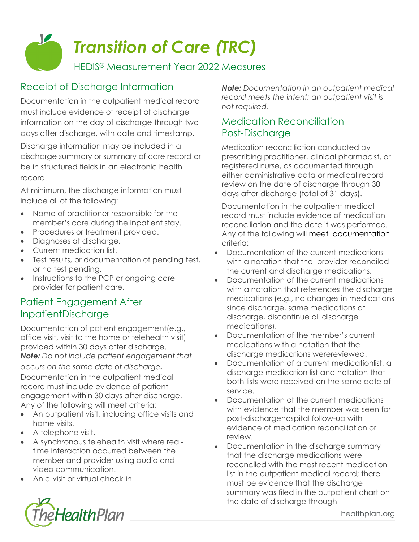# *Transition of Care (TRC)*

HEDIS® Measurement Year 2022 Measures

# Receipt of Discharge Information

V

Documentation in the outpatient medical record must include evidence of receipt of discharge information on the day of discharge through two days after discharge, with date and timestamp. Discharge information may be included in a discharge summary or summary of care record or be in structured fields in an electronic health record.

At minimum, the discharge information must include all of the following:

- Name of practitioner responsible for the member's care during the inpatient stay.
- Procedures or treatment provided.
- Diagnoses at discharge.
- Current medication list.
- Test results, or documentation of pending test, or no test pending.
- Instructions to the PCP or ongoing care provider for patient care.

### Patient Engagement After InpatientDischarge

Documentation of patient engagement(e.g., office visit, visit to the home or telehealth visit) provided within 30 days after discharge. *Note: Do not include patient engagement that occurs on the same date of discharge.* Documentation in the outpatient medical record must include evidence of patient engagement within 30 days after discharge. Any of the following will meet criteria:

- An outpatient visit, including office visits and home visits.
- A telephone visit.
- A synchronous telehealth visit where realtime interaction occurred between the member and provider using audio and video communication.
- An e-visit or virtual check-in



*Note: Documentation in an outpatient medical record meets the intent; an outpatient visit is not required.*

## Medication Reconciliation Post-Discharge

Medication reconciliation conducted by prescribing practitioner, clinical pharmacist, or registered nurse, as documented through either administrative data or medical record review on the date of discharge through 30 days after discharge (total of 31 days).

Documentation in the outpatient medical record must include evidence of medication reconciliation and the date it was performed. Any of the following will meet documentation criteria:

- Documentation of the current medications with a notation that the provider reconciled the current and discharge medications.
- Documentation of the current medications with a notation that references the discharge medications (e.g., no changes in medications since discharge, same medications at discharge, discontinue all discharge medications).
- Documentation of the member's current medications with a notation that the discharge medications werereviewed.
- Documentation of a current medicationlist, a discharge medication list and notation that both lists were received on the same date of service.
- Documentation of the current medications with evidence that the member was seen for post-dischargehospital follow-up with evidence of medication reconciliation or review.
- Documentation in the discharge summary that the discharge medications were reconciled with the most recent medication list in the outpatient medical record; there must be evidence that the discharge summary was filed in the outpatient chart on the date of discharge through

healthplan.org